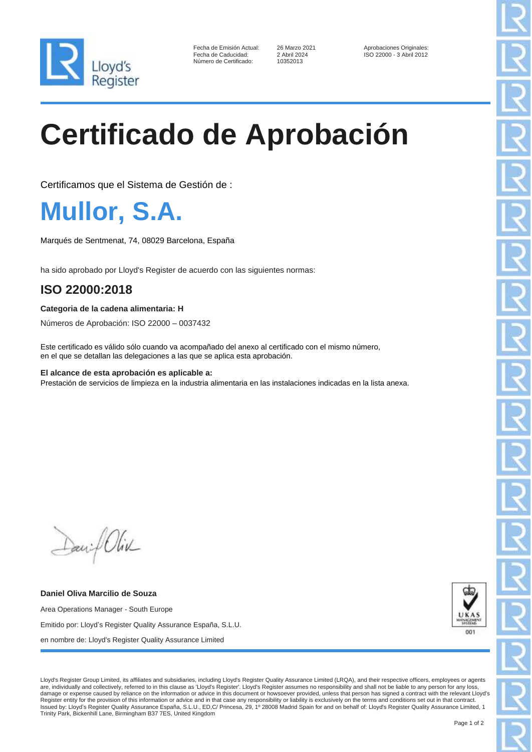

Número de Certificado:

Fecha de Emisión Actual: 26 Marzo 2021 Aprobaciones Originales: Fecha de Caducidad: 2 Abril 2024 ISO 22000 - 3 Abril 2012

# **Certificado de Aprobación**

Certificamos que el Sistema de Gestión de :

**Mullor, S.A.**

Marqués de Sentmenat, 74, 08029 Barcelona, España

ha sido aprobado por Lloyd's Register de acuerdo con las siguientes normas:

### **ISO 22000:2018**

#### **Categoria de la cadena alimentaria: H**

Números de Aprobación: ISO 22000 – 0037432

Este certificado es válido sólo cuando va acompañado del anexo al certificado con el mismo número, en el que se detallan las delegaciones a las que se aplica esta aprobación.

#### **El alcance de esta aprobación es aplicable a:**

Prestación de servicios de limpieza en la industria alimentaria en las instalaciones indicadas en la lista anexa.

Daniel Oliv

**Daniel Oliva Marcilio de Souza** Area Operations Manager - South Europe Emitido por: Lloyd's Register Quality Assurance España, S.L.U. en nombre de: Lloyd's Register Quality Assurance Limited



Lloyd's Register Group Limited, its affiliates and subsidiaries, including Lloyd's Register Quality Assurance Limited (LRQA), and their respective officers, employees or agents are, individually and collectively, referred to in this clause as 'Lloyd's Register'. Lloyd's Register assumes no responsibility and shall not be liable to any person for any loss, damage or expense caused by reliance on the information or advice in this document or howsoever provided, unless that person has signed a contract with the relevant Lloyd's Register entity for the provision of this information or advice and in that case any responsibility or liability is exclusively on the terms and conditions set out in that contract.<br>Issued by: Lloyd's Register Quality Assu Trinity Park, Bickenhill Lane, Birmingham B37 7ES, United Kingdom